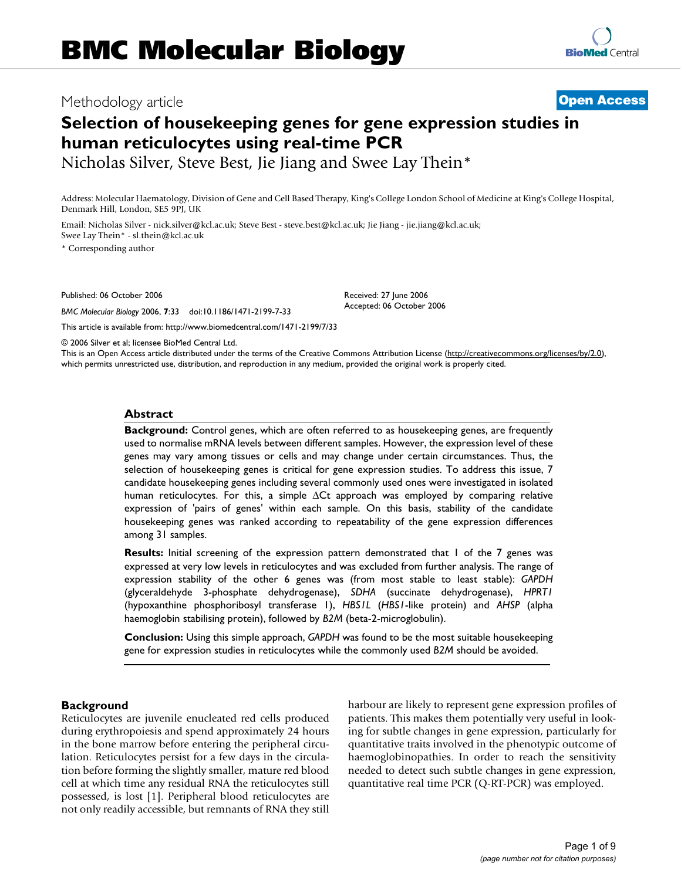## Methodology article **[Open Access](http://www.biomedcentral.com/info/about/charter/)**

# **Selection of housekeeping genes for gene expression studies in human reticulocytes using real-time PCR**

Nicholas Silver, Steve Best, Jie Jiang and Swee Lay Thein\*

Address: Molecular Haematology, Division of Gene and Cell Based Therapy, King's College London School of Medicine at King's College Hospital, Denmark Hill, London, SE5 9PJ, UK

Email: Nicholas Silver - nick.silver@kcl.ac.uk; Steve Best - steve.best@kcl.ac.uk; Jie Jiang - jie.jiang@kcl.ac.uk; Swee Lay Thein\* - sl.thein@kcl.ac.uk

\* Corresponding author

Published: 06 October 2006

*BMC Molecular Biology* 2006, **7**:33 doi:10.1186/1471-2199-7-33

[This article is available from: http://www.biomedcentral.com/1471-2199/7/33](http://www.biomedcentral.com/1471-2199/7/33)

© 2006 Silver et al; licensee BioMed Central Ltd.

This is an Open Access article distributed under the terms of the Creative Commons Attribution License [\(http://creativecommons.org/licenses/by/2.0\)](http://creativecommons.org/licenses/by/2.0), which permits unrestricted use, distribution, and reproduction in any medium, provided the original work is properly cited.

Received: 27 June 2006 Accepted: 06 October 2006

#### **Abstract**

**Background:** Control genes, which are often referred to as housekeeping genes, are frequently used to normalise mRNA levels between different samples. However, the expression level of these genes may vary among tissues or cells and may change under certain circumstances. Thus, the selection of housekeeping genes is critical for gene expression studies. To address this issue, 7 candidate housekeeping genes including several commonly used ones were investigated in isolated human reticulocytes. For this, a simple ΔCt approach was employed by comparing relative expression of 'pairs of genes' within each sample. On this basis, stability of the candidate housekeeping genes was ranked according to repeatability of the gene expression differences among 31 samples.

**Results:** Initial screening of the expression pattern demonstrated that 1 of the 7 genes was expressed at very low levels in reticulocytes and was excluded from further analysis. The range of expression stability of the other 6 genes was (from most stable to least stable): *GAPDH* (glyceraldehyde 3-phosphate dehydrogenase), *SDHA* (succinate dehydrogenase), *HPRT1* (hypoxanthine phosphoribosyl transferase 1), *HBS1L* (*HBS1*-like protein) and *AHSP* (alpha haemoglobin stabilising protein), followed by *B2M* (beta-2-microglobulin).

**Conclusion:** Using this simple approach, *GAPDH* was found to be the most suitable housekeeping gene for expression studies in reticulocytes while the commonly used *B2M* should be avoided.

#### **Background**

Reticulocytes are juvenile enucleated red cells produced during erythropoiesis and spend approximately 24 hours in the bone marrow before entering the peripheral circulation. Reticulocytes persist for a few days in the circulation before forming the slightly smaller, mature red blood cell at which time any residual RNA the reticulocytes still possessed, is lost [1]. Peripheral blood reticulocytes are not only readily accessible, but remnants of RNA they still harbour are likely to represent gene expression profiles of patients. This makes them potentially very useful in looking for subtle changes in gene expression, particularly for quantitative traits involved in the phenotypic outcome of haemoglobinopathies. In order to reach the sensitivity needed to detect such subtle changes in gene expression, quantitative real time PCR (Q-RT-PCR) was employed.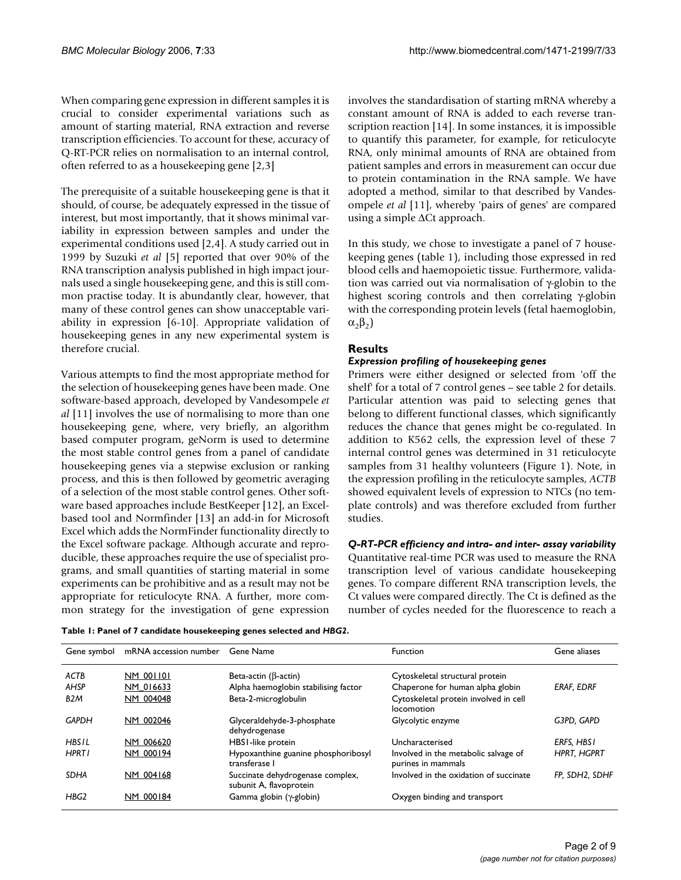When comparing gene expression in different samples it is crucial to consider experimental variations such as amount of starting material, RNA extraction and reverse transcription efficiencies. To account for these, accuracy of Q-RT-PCR relies on normalisation to an internal control, often referred to as a housekeeping gene [2,3]

The prerequisite of a suitable housekeeping gene is that it should, of course, be adequately expressed in the tissue of interest, but most importantly, that it shows minimal variability in expression between samples and under the experimental conditions used [2,4]. A study carried out in 1999 by Suzuki *et al* [5] reported that over 90% of the RNA transcription analysis published in high impact journals used a single housekeeping gene, and this is still common practise today. It is abundantly clear, however, that many of these control genes can show unacceptable variability in expression [6-10]. Appropriate validation of housekeeping genes in any new experimental system is therefore crucial.

Various attempts to find the most appropriate method for the selection of housekeeping genes have been made. One software-based approach, developed by Vandesompele *et al* [11] involves the use of normalising to more than one housekeeping gene, where, very briefly, an algorithm based computer program, geNorm is used to determine the most stable control genes from a panel of candidate housekeeping genes via a stepwise exclusion or ranking process, and this is then followed by geometric averaging of a selection of the most stable control genes. Other software based approaches include BestKeeper [12], an Excelbased tool and Normfinder [13] an add-in for Microsoft Excel which adds the NormFinder functionality directly to the Excel software package. Although accurate and reproducible, these approaches require the use of specialist programs, and small quantities of starting material in some experiments can be prohibitive and as a result may not be appropriate for reticulocyte RNA. A further, more common strategy for the investigation of gene expression involves the standardisation of starting mRNA whereby a constant amount of RNA is added to each reverse transcription reaction [14]. In some instances, it is impossible to quantify this parameter, for example, for reticulocyte RNA, only minimal amounts of RNA are obtained from patient samples and errors in measurement can occur due to protein contamination in the RNA sample. We have adopted a method, similar to that described by Vandesompele *et al* [11], whereby 'pairs of genes' are compared using a simple ΔCt approach.

In this study, we chose to investigate a panel of 7 housekeeping genes (table 1), including those expressed in red blood cells and haemopoietic tissue. Furthermore, validation was carried out via normalisation of γ-globin to the highest scoring controls and then correlating γ-globin with the corresponding protein levels (fetal haemoglobin,  $\alpha_2\beta_2$ 

### **Results**

#### *Expression profiling of housekeeping genes*

Primers were either designed or selected from 'off the shelf' for a total of 7 control genes – see table 2 for details. Particular attention was paid to selecting genes that belong to different functional classes, which significantly reduces the chance that genes might be co-regulated. In addition to K562 cells, the expression level of these 7 internal control genes was determined in 31 reticulocyte samples from 31 healthy volunteers (Figure 1). Note, in the expression profiling in the reticulocyte samples, *ACTB* showed equivalent levels of expression to NTCs (no template controls) and was therefore excluded from further studies.

*Q-RT-PCR efficiency and intra- and inter- assay variability* Quantitative real-time PCR was used to measure the RNA transcription level of various candidate housekeeping genes. To compare different RNA transcription levels, the Ct values were compared directly. The Ct is defined as the number of cycles needed for the fluorescence to reach a

| Table 1: Panel of 7 candidate housekeeping genes selected and HBG2. |  |  |  |  |  |  |  |  |  |
|---------------------------------------------------------------------|--|--|--|--|--|--|--|--|--|
|---------------------------------------------------------------------|--|--|--|--|--|--|--|--|--|

| Gene symbol      | mRNA accession number Gene Name |                                                             | <b>Function</b>                                            | Gene aliases       |
|------------------|---------------------------------|-------------------------------------------------------------|------------------------------------------------------------|--------------------|
| ACTB             | NM 001101                       | Beta-actin ( $\beta$ -actin)                                | Cytoskeletal structural protein                            |                    |
| AHSP             | NM 016633                       | Alpha haemoglobin stabilising factor                        | Chaperone for human alpha globin                           | <b>ERAF, EDRF</b>  |
| B <sub>2</sub> M | NM 004048                       | Beta-2-microglobulin                                        | Cytoskeletal protein involved in cell<br>locomotion        |                    |
| <b>GAPDH</b>     | NM 002046                       | Glyceraldehyde-3-phosphate<br>dehydrogenase                 | Glycolytic enzyme                                          | G3PD, GAPD         |
| <b>HBSIL</b>     | NM 006620                       | HBSI-like protein                                           | Uncharacterised                                            | ERFS. HBS1         |
| <b>HPRT1</b>     | NM 000194                       | Hypoxanthine guanine phosphoribosyl<br>transferase l        | Involved in the metabolic salvage of<br>purines in mammals | <b>HPRT, HGPRT</b> |
| <b>SDHA</b>      | NM 004168                       | Succinate dehydrogenase complex,<br>subunit A, flavoprotein | Involved in the oxidation of succinate                     | FP. SDH2. SDHF     |
| HBG <sub>2</sub> | NM 000184                       | Gamma globin (y-globin)                                     | Oxygen binding and transport                               |                    |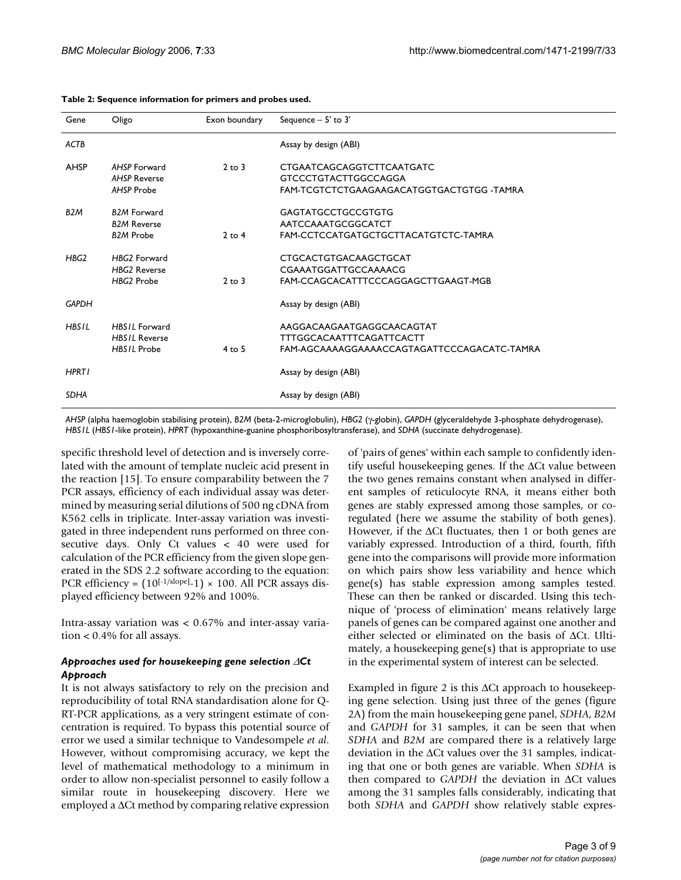| Gene             | Oligo                | Exon boundary | Sequence $-5'$ to $3'$                      |
|------------------|----------------------|---------------|---------------------------------------------|
| ACTB             |                      |               | Assay by design (ABI)                       |
| <b>AHSP</b>      | <b>AHSP Forward</b>  | $2$ to $3$    | CTGAATCAGCAGGTCTTCAATGATC                   |
|                  | <b>AHSP Reverse</b>  |               | <b>GTCCCTGTACTTGGCCAGGA</b>                 |
|                  | <b>AHSP Probe</b>    |               | FAM-TCGTCTCTGAAGAAGACATGGTGACTGTGG -TAMRA   |
| B <sub>2</sub> M | <b>B2M Forward</b>   |               | <b>GAGTATGCCTGCCGTGTG</b>                   |
|                  | <b>B2M Reverse</b>   |               | AATCCAAATGCGGCATCT                          |
|                  | <b>B2M Probe</b>     | $2$ to $4$    | FAM-CCTCCATGATGCTGCTTACATGTCTC-TAMRA        |
| HBG <sub>2</sub> | HBG2 Forward         |               | CTGCACTGTGACAAGCTGCAT                       |
|                  | <b>HBG2 Reverse</b>  |               | CGAAATGGATTGCCAAAACG                        |
|                  | HBG2 Probe           | $2$ to $3$    | FAM-CCAGCACATTTCCCAGGAGCTTGAAGT-MGB         |
| <b>GAPDH</b>     |                      |               | Assay by design (ABI)                       |
| <b>HBSIL</b>     | HBSIL Forward        |               | AAGGACAAGAATGAGGCAACAGTAT                   |
|                  | <b>HBSIL Reverse</b> |               | <b>TTTGGCACAATTTCAGATTCACTT</b>             |
|                  | HBSIL Probe          | $4$ to 5      | FAM-AGCAAAAGGAAAACCAGTAGATTCCCAGACATC-TAMRA |
| <b>HPRT1</b>     |                      |               | Assay by design (ABI)                       |
| <b>SDHA</b>      |                      |               | Assay by design (ABI)                       |
|                  |                      |               |                                             |

|  | Table 2: Sequence information for primers and probes used. |  |  |  |
|--|------------------------------------------------------------|--|--|--|
|--|------------------------------------------------------------|--|--|--|

*AHSP* (alpha haemoglobin stabilising protein), *B2M* (beta-2-microglobulin), *HBG2* (γ-globin), *GAPDH* (glyceraldehyde 3-phosphate dehydrogenase), *HBS1L* (*HBS1*-like protein), *HPRT* (hypoxanthine-guanine phosphoribosyltransferase), and *SDHA* (succinate dehydrogenase).

specific threshold level of detection and is inversely correlated with the amount of template nucleic acid present in the reaction [15]. To ensure comparability between the 7 PCR assays, efficiency of each individual assay was determined by measuring serial dilutions of 500 ng cDNA from K562 cells in triplicate. Inter-assay variation was investigated in three independent runs performed on three consecutive days. Only Ct values < 40 were used for calculation of the PCR efficiency from the given slope generated in the SDS 2.2 software according to the equation: PCR efficiency =  $(10^{[-1/slope]} - 1) \times 100$ . All PCR assays displayed efficiency between 92% and 100%.

Intra-assay variation was < 0.67% and inter-assay variation < 0.4% for all assays.

#### *Approaches used for housekeeping gene selection* Δ*Ct Approach*

It is not always satisfactory to rely on the precision and reproducibility of total RNA standardisation alone for Q-RT-PCR applications, as a very stringent estimate of concentration is required. To bypass this potential source of error we used a similar technique to Vandesompele *et al*. However, without compromising accuracy, we kept the level of mathematical methodology to a minimum in order to allow non-specialist personnel to easily follow a similar route in housekeeping discovery. Here we employed a ΔCt method by comparing relative expression of 'pairs of genes' within each sample to confidently identify useful housekeeping genes. If the ΔCt value between the two genes remains constant when analysed in different samples of reticulocyte RNA, it means either both genes are stably expressed among those samples, or coregulated (here we assume the stability of both genes). However, if the ΔCt fluctuates, then 1 or both genes are variably expressed. Introduction of a third, fourth, fifth gene into the comparisons will provide more information on which pairs show less variability and hence which gene(s) has stable expression among samples tested. These can then be ranked or discarded. Using this technique of 'process of elimination' means relatively large panels of genes can be compared against one another and either selected or eliminated on the basis of ΔCt. Ultimately, a housekeeping gene(s) that is appropriate to use in the experimental system of interest can be selected.

Exampled in figure 2 is this ΔCt approach to housekeeping gene selection. Using just three of the genes (figure 2A) from the main housekeeping gene panel, *SDHA*, *B2M* and *GAPDH* for 31 samples, it can be seen that when *SDHA* and *B2M* are compared there is a relatively large deviation in the ΔCt values over the 31 samples, indicating that one or both genes are variable. When *SDHA* is then compared to *GAPDH* the deviation in ΔCt values among the 31 samples falls considerably, indicating that both *SDHA* and *GAPDH* show relatively stable expres-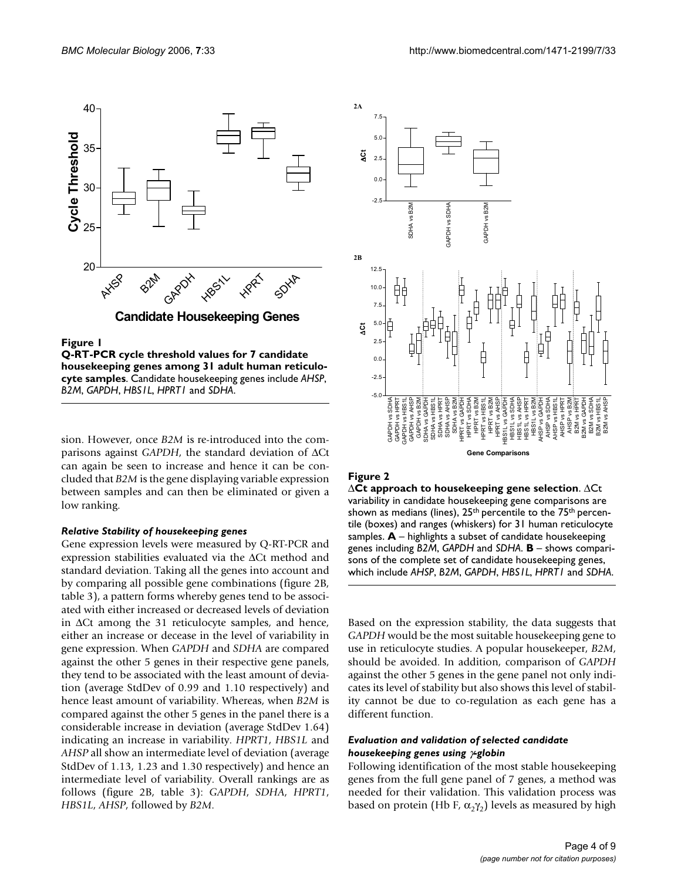



Figure 1

40

**Q-RT-PCR cycle threshold values for 7 candidate housekeeping genes among 31 adult human reticulocyte samples**. Candidate housekeeping genes include *AHSP*, *B2M*, *GAPDH*, *HBS1L*, *HPRT1* and *SDHA*.

sion. However, once *B2M* is re-introduced into the comparisons against *GAPDH*, the standard deviation of ΔCt can again be seen to increase and hence it can be concluded that *B2M* is the gene displaying variable expression between samples and can then be eliminated or given a low ranking.

#### *Relative Stability of housekeeping genes*

Gene expression levels were measured by Q-RT-PCR and expression stabilities evaluated via the ΔCt method and standard deviation. Taking all the genes into account and by comparing all possible gene combinations (figure 2B, table 3), a pattern forms whereby genes tend to be associated with either increased or decreased levels of deviation in  $ΔCt$  among the 31 reticulocyte samples, and hence, either an increase or decease in the level of variability in gene expression. When *GAPDH* and *SDHA* are compared against the other 5 genes in their respective gene panels, they tend to be associated with the least amount of deviation (average StdDev of 0.99 and 1.10 respectively) and hence least amount of variability. Whereas, when *B2M* is compared against the other 5 genes in the panel there is a considerable increase in deviation (average StdDev 1.64) indicating an increase in variability. *HPRT1*, *HBS1L* and *AHSP* all show an intermediate level of deviation (average StdDev of 1.13, 1.23 and 1.30 respectively) and hence an intermediate level of variability. Overall rankings are as follows (figure 2B, table 3): *GAPDH*, *SDHA*, *HPRT1*, *HBS1L*, *AHSP*, followed by *B2M*.



#### **Figure 2**

Δ**Ct approach to housekeeping gene selection**. ΔCt variability in candidate housekeeping gene comparisons are shown as medians (lines), 25<sup>th</sup> percentile to the 75<sup>th</sup> percentile (boxes) and ranges (whiskers) for 31 human reticulocyte samples. **A** – highlights a subset of candidate housekeeping genes including *B2M*, *GAPDH* and *SDHA*. **B** – shows comparisons of the complete set of candidate housekeeping genes,  $\frac{1}{2}$ <br>  $\frac{1}{2}$   $\frac{1}{2}$   $\frac{1}{2}$   $\frac{1}{2}$   $\frac{1}{2}$   $\frac{1}{2}$   $\frac{1}{2}$   $\frac{1}{2}$   $\frac{1}{2}$   $\frac{1}{2}$   $\frac{1}{2}$   $\frac{1}{2}$   $\frac{1}{2}$   $\frac{1}{2}$   $\frac{1}{2}$   $\frac{1}{2}$   $\frac{1}{2}$   $\frac{1}{2}$   $\frac{1}{2}$   $\frac{1}{2}$   $\frac{1}{2}$ 

Based on the expression stability, the data suggests that *GAPDH* would be the most suitable housekeeping gene to use in reticulocyte studies. A popular housekeeper, *B2M*, should be avoided. In addition, comparison of *GAPDH* against the other 5 genes in the gene panel not only indicates its level of stability but also shows this level of stability cannot be due to co-regulation as each gene has a different function.

#### *Evaluation and validation of selected candidate housekeeping genes using* γ*-globin*

Following identification of the most stable housekeeping genes from the full gene panel of 7 genes, a method was needed for their validation. This validation process was based on protein (Hb F,  $\alpha_2 \gamma_2$ ) levels as measured by high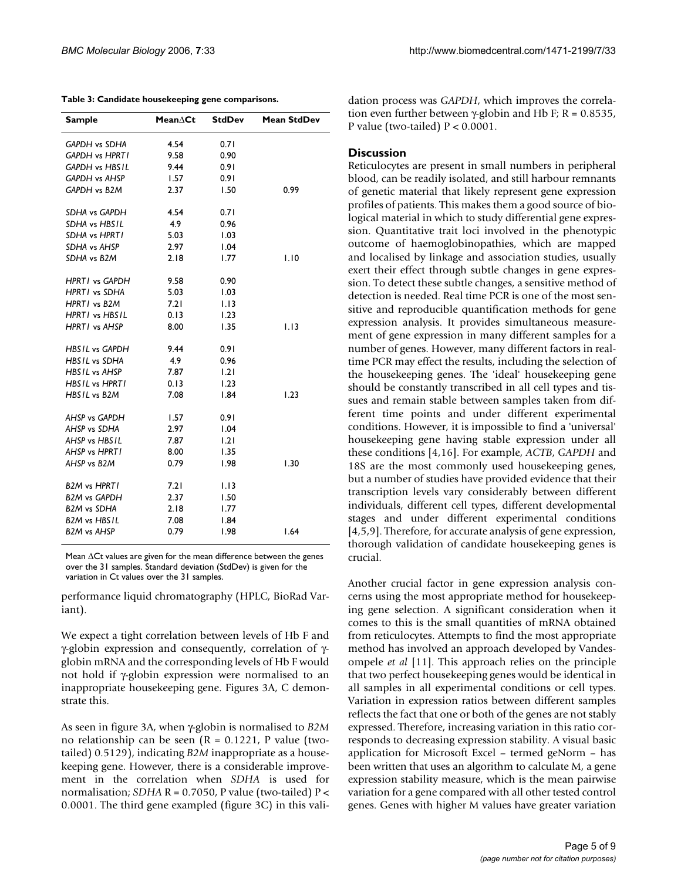| Table 3: Candidate housekeeping gene comparisons. |
|---------------------------------------------------|
|---------------------------------------------------|

| <b>Sample</b>         | Mean∆Ct | <b>StdDev</b> | <b>Mean StdDev</b> |
|-----------------------|---------|---------------|--------------------|
| GAPDH vs SDHA         | 4.54    | 0.71          |                    |
| <b>GAPDH vs HPRTI</b> | 9.58    | 0.90          |                    |
| <b>GAPDH vs HBSIL</b> | 9.44    | 0.91          |                    |
| GAPDH vs AHSP         | 1.57    | 0.91          |                    |
| GAPDH vs B2M          | 2.37    | 1.50          | 0.99               |
| SDHA vs GAPDH         | 4.54    | 0.71          |                    |
| SDHA vs HBSIL         | 4.9     | 0.96          |                    |
| SDHA vs HPRTI         | 5.03    | 1.03          |                    |
| SDHA vs AHSP          | 2.97    | 1.04          |                    |
| SDHA vs B2M           | 2.18    | 1.77          | 1.10               |
| HPRT1 vs GAPDH        | 9.58    | 0.90          |                    |
| HPRT1 vs SDHA         | 5.03    | 1.03          |                    |
| HPRT1 vs B2M          | 7.21    | 1.13          |                    |
| HPRTI vs HBSIL        | 0.13    | 1.23          |                    |
| HPRT1 vs AHSP         | 8.00    | 1.35          | 1.13               |
| HBS IL vs GAPDH       | 9.44    | 0.91          |                    |
| HBSIL vs SDHA         | 4.9     | 0.96          |                    |
| HBS IL vs AHSP        | 7.87    | 1.21          |                    |
| HBSIL vs HPRTI        | 0.13    | 1.23          |                    |
| HBSIL vs B2M          | 7.08    | 1.84          | 1.23               |
| AHSP vs GAPDH         | 1.57    | 0.91          |                    |
| AHSP vs SDHA          | 2.97    | 1.04          |                    |
| AHSP vs HBSIL         | 7.87    | 1.21          |                    |
| AHSP vs HPRT1         | 8.00    | 1.35          |                    |
| AHSP vs B2M           | 0.79    | 1.98          | 1.30               |
| <b>B2M vs HPRTI</b>   | 7.21    | 1.13          |                    |
| <b>B2M vs GAPDH</b>   | 2.37    | 1.50          |                    |
| <b>B2M</b> vs SDHA    | 2.18    | 1.77          |                    |
| B2M vs HBSIL          | 7.08    | 1.84          |                    |
| <b>B2M vs AHSP</b>    | 0.79    | 1.98          | 1.64               |

Mean ΔCt values are given for the mean difference between the genes over the 31 samples. Standard deviation (StdDev) is given for the variation in Ct values over the 31 samples.

performance liquid chromatography (HPLC, BioRad Variant).

We expect a tight correlation between levels of Hb F and γ-globin expression and consequently, correlation of γglobin mRNA and the corresponding levels of Hb F would not hold if γ-globin expression were normalised to an inappropriate housekeeping gene. Figures 3A, C demonstrate this.

As seen in figure 3A, when γ-globin is normalised to *B2M* no relationship can be seen  $(R = 0.1221, P$  value (twotailed) 0.5129), indicating *B2M* inappropriate as a housekeeping gene. However, there is a considerable improvement in the correlation when *SDHA* is used for normalisation; *SDHA* R = 0.7050, P value (two-tailed) P < 0.0001. The third gene exampled (figure 3C) in this validation process was *GAPDH*, which improves the correlation even further between γ-globin and Hb F; R =  $0.8535$ , P value (two-tailed)  $P < 0.0001$ .

#### **Discussion**

Reticulocytes are present in small numbers in peripheral blood, can be readily isolated, and still harbour remnants of genetic material that likely represent gene expression profiles of patients. This makes them a good source of biological material in which to study differential gene expression. Quantitative trait loci involved in the phenotypic outcome of haemoglobinopathies, which are mapped and localised by linkage and association studies, usually exert their effect through subtle changes in gene expression. To detect these subtle changes, a sensitive method of detection is needed. Real time PCR is one of the most sensitive and reproducible quantification methods for gene expression analysis. It provides simultaneous measurement of gene expression in many different samples for a number of genes. However, many different factors in realtime PCR may effect the results, including the selection of the housekeeping genes. The 'ideal' housekeeping gene should be constantly transcribed in all cell types and tissues and remain stable between samples taken from different time points and under different experimental conditions. However, it is impossible to find a 'universal' housekeeping gene having stable expression under all these conditions [4,16]. For example, *ACTB*, *GAPDH* and 18S are the most commonly used housekeeping genes, but a number of studies have provided evidence that their transcription levels vary considerably between different individuals, different cell types, different developmental stages and under different experimental conditions [4,5,9]. Therefore, for accurate analysis of gene expression, thorough validation of candidate housekeeping genes is crucial.

Another crucial factor in gene expression analysis concerns using the most appropriate method for housekeeping gene selection. A significant consideration when it comes to this is the small quantities of mRNA obtained from reticulocytes. Attempts to find the most appropriate method has involved an approach developed by Vandesompele *et al* [11]. This approach relies on the principle that two perfect housekeeping genes would be identical in all samples in all experimental conditions or cell types. Variation in expression ratios between different samples reflects the fact that one or both of the genes are not stably expressed. Therefore, increasing variation in this ratio corresponds to decreasing expression stability. A visual basic application for Microsoft Excel – termed geNorm – has been written that uses an algorithm to calculate M, a gene expression stability measure, which is the mean pairwise variation for a gene compared with all other tested control genes. Genes with higher M values have greater variation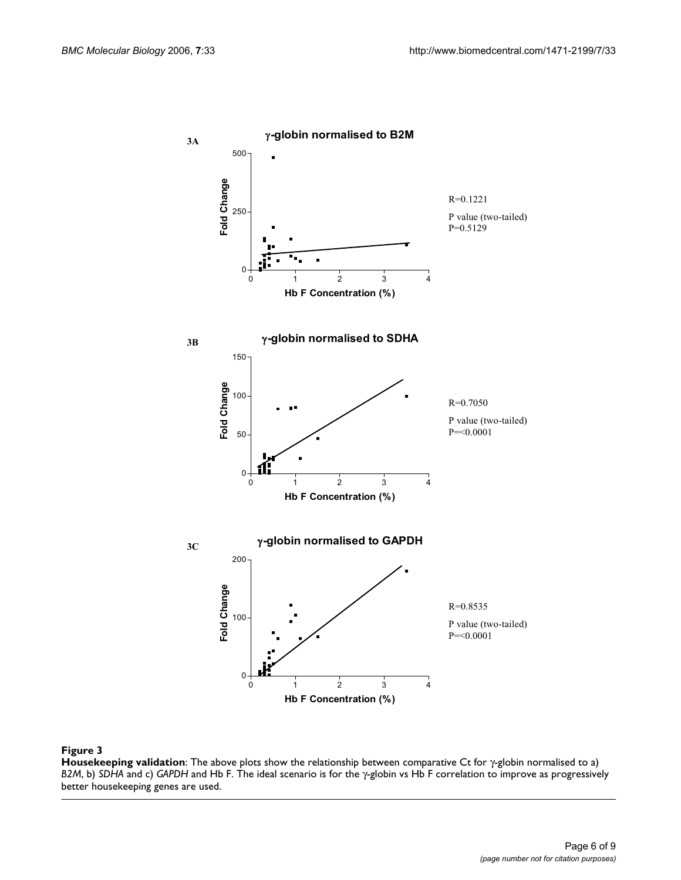

#### **Figure 3**

**Housekeeping validation**: The above plots show the relationship between comparative Ct for γ-globin normalised to a) *B2M*, b) *SDHA* and c) *GAPDH* and Hb F. The ideal scenario is for the γ-globin vs Hb F correlation to improve as progressively better housekeeping genes are used.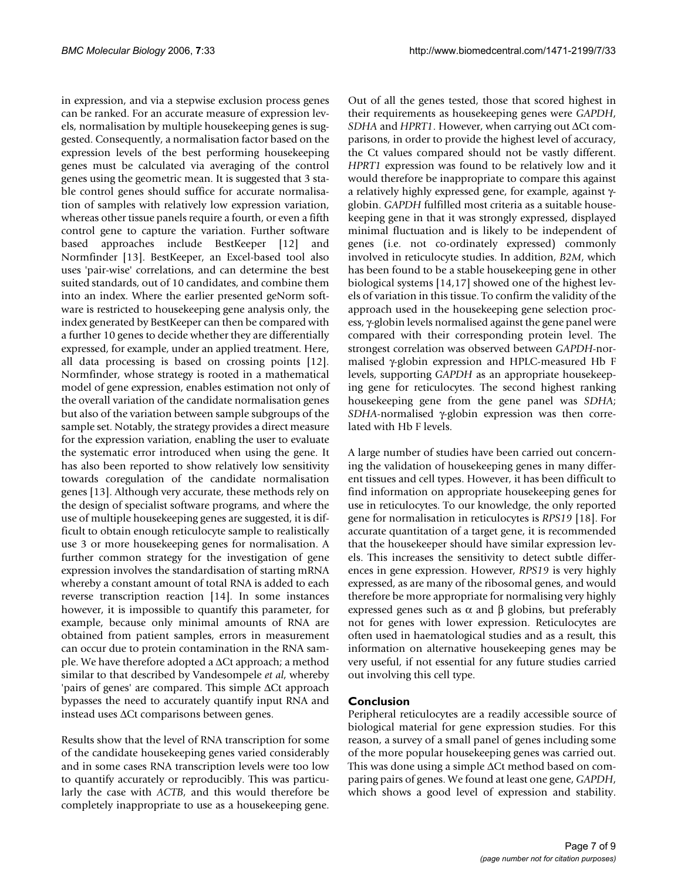in expression, and via a stepwise exclusion process genes can be ranked. For an accurate measure of expression levels, normalisation by multiple housekeeping genes is suggested. Consequently, a normalisation factor based on the expression levels of the best performing housekeeping genes must be calculated via averaging of the control genes using the geometric mean. It is suggested that 3 stable control genes should suffice for accurate normalisation of samples with relatively low expression variation, whereas other tissue panels require a fourth, or even a fifth control gene to capture the variation. Further software based approaches include BestKeeper [12] and Normfinder [13]. BestKeeper, an Excel-based tool also uses 'pair-wise' correlations, and can determine the best suited standards, out of 10 candidates, and combine them into an index. Where the earlier presented geNorm software is restricted to housekeeping gene analysis only, the index generated by BestKeeper can then be compared with a further 10 genes to decide whether they are differentially expressed, for example, under an applied treatment. Here, all data processing is based on crossing points [12]. Normfinder, whose strategy is rooted in a mathematical model of gene expression, enables estimation not only of the overall variation of the candidate normalisation genes but also of the variation between sample subgroups of the sample set. Notably, the strategy provides a direct measure for the expression variation, enabling the user to evaluate the systematic error introduced when using the gene. It has also been reported to show relatively low sensitivity towards coregulation of the candidate normalisation genes [13]. Although very accurate, these methods rely on the design of specialist software programs, and where the use of multiple housekeeping genes are suggested, it is difficult to obtain enough reticulocyte sample to realistically use 3 or more housekeeping genes for normalisation. A further common strategy for the investigation of gene expression involves the standardisation of starting mRNA whereby a constant amount of total RNA is added to each reverse transcription reaction [14]. In some instances however, it is impossible to quantify this parameter, for example, because only minimal amounts of RNA are obtained from patient samples, errors in measurement can occur due to protein contamination in the RNA sample. We have therefore adopted a ΔCt approach; a method similar to that described by Vandesompele *et al*, whereby 'pairs of genes' are compared. This simple ΔCt approach bypasses the need to accurately quantify input RNA and instead uses ΔCt comparisons between genes.

Results show that the level of RNA transcription for some of the candidate housekeeping genes varied considerably and in some cases RNA transcription levels were too low to quantify accurately or reproducibly. This was particularly the case with *ACTB*, and this would therefore be completely inappropriate to use as a housekeeping gene.

Out of all the genes tested, those that scored highest in their requirements as housekeeping genes were *GAPDH*, *SDHA* and *HPRT1*. However, when carrying out ΔCt comparisons, in order to provide the highest level of accuracy, the Ct values compared should not be vastly different. *HPRT1* expression was found to be relatively low and it would therefore be inappropriate to compare this against a relatively highly expressed gene, for example, against γglobin. *GAPDH* fulfilled most criteria as a suitable housekeeping gene in that it was strongly expressed, displayed minimal fluctuation and is likely to be independent of genes (i.e. not co-ordinately expressed) commonly involved in reticulocyte studies. In addition, *B2M*, which has been found to be a stable housekeeping gene in other biological systems [14,17] showed one of the highest levels of variation in this tissue. To confirm the validity of the approach used in the housekeeping gene selection process, γ-globin levels normalised against the gene panel were compared with their corresponding protein level. The strongest correlation was observed between *GAPDH*-normalised γ-globin expression and HPLC-measured Hb F levels, supporting *GAPDH* as an appropriate housekeeping gene for reticulocytes. The second highest ranking housekeeping gene from the gene panel was *SDHA*; *SDHA*-normalised γ-globin expression was then correlated with Hb F levels.

A large number of studies have been carried out concerning the validation of housekeeping genes in many different tissues and cell types. However, it has been difficult to find information on appropriate housekeeping genes for use in reticulocytes. To our knowledge, the only reported gene for normalisation in reticulocytes is *RPS19* [18]. For accurate quantitation of a target gene, it is recommended that the housekeeper should have similar expression levels. This increases the sensitivity to detect subtle differences in gene expression. However, *RPS19* is very highly expressed, as are many of the ribosomal genes, and would therefore be more appropriate for normalising very highly expressed genes such as  $\alpha$  and β globins, but preferably not for genes with lower expression. Reticulocytes are often used in haematological studies and as a result, this information on alternative housekeeping genes may be very useful, if not essential for any future studies carried out involving this cell type.

#### **Conclusion**

Peripheral reticulocytes are a readily accessible source of biological material for gene expression studies. For this reason, a survey of a small panel of genes including some of the more popular housekeeping genes was carried out. This was done using a simple ΔCt method based on comparing pairs of genes. We found at least one gene, *GAPDH*, which shows a good level of expression and stability.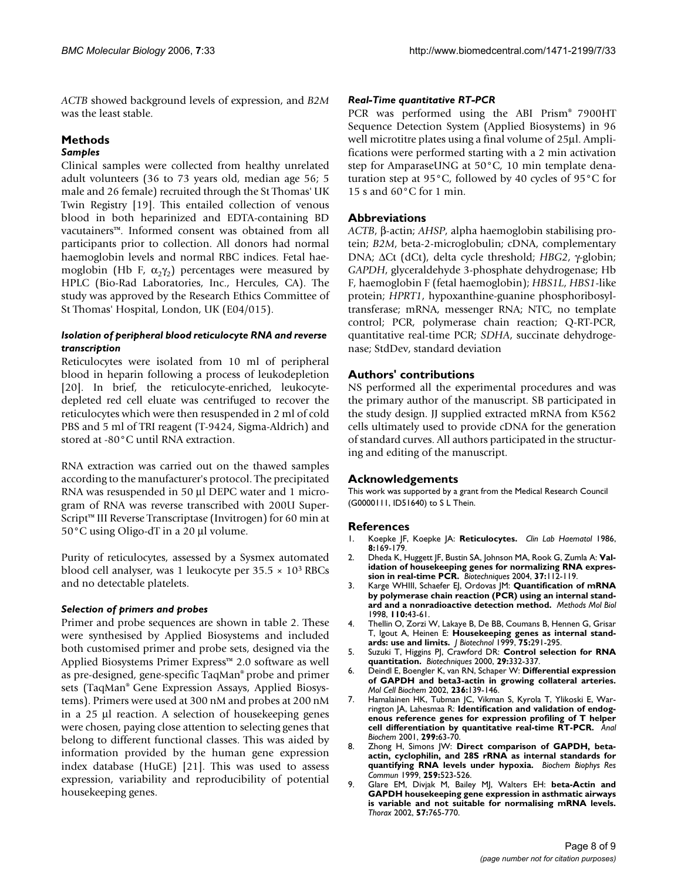*ACTB* showed background levels of expression, and *B2M* was the least stable.

#### **Methods**

#### *Samples*

Clinical samples were collected from healthy unrelated adult volunteers (36 to 73 years old, median age 56; 5 male and 26 female) recruited through the St Thomas' UK Twin Registry [19]. This entailed collection of venous blood in both heparinized and EDTA-containing BD vacutainers™. Informed consent was obtained from all participants prior to collection. All donors had normal haemoglobin levels and normal RBC indices. Fetal haemoglobin (Hb F,  $\alpha_2 \gamma_2$ ) percentages were measured by HPLC (Bio-Rad Laboratories, Inc., Hercules, CA). The study was approved by the Research Ethics Committee of St Thomas' Hospital, London, UK (E04/015).

#### *Isolation of peripheral blood reticulocyte RNA and reverse transcription*

Reticulocytes were isolated from 10 ml of peripheral blood in heparin following a process of leukodepletion [20]. In brief, the reticulocyte-enriched, leukocytedepleted red cell eluate was centrifuged to recover the reticulocytes which were then resuspended in 2 ml of cold PBS and 5 ml of TRI reagent (T-9424, Sigma-Aldrich) and stored at -80°C until RNA extraction.

RNA extraction was carried out on the thawed samples according to the manufacturer's protocol. The precipitated RNA was resuspended in 50 μl DEPC water and 1 microgram of RNA was reverse transcribed with 200U Super-Script™ III Reverse Transcriptase (Invitrogen) for 60 min at 50°C using Oligo-dT in a 20 μl volume.

Purity of reticulocytes, assessed by a Sysmex automated blood cell analyser, was 1 leukocyte per 35.5 × 103 RBCs and no detectable platelets.

#### *Selection of primers and probes*

Primer and probe sequences are shown in table 2. These were synthesised by Applied Biosystems and included both customised primer and probe sets, designed via the Applied Biosystems Primer Express™ 2.0 software as well as pre-designed, gene-specific TaqMan® probe and primer sets (TaqMan® Gene Expression Assays, Applied Biosystems). Primers were used at 300 nM and probes at 200 nM in a 25 μl reaction. A selection of housekeeping genes were chosen, paying close attention to selecting genes that belong to different functional classes. This was aided by information provided by the human gene expression index database (HuGE) [21]. This was used to assess expression, variability and reproducibility of potential housekeeping genes.

#### *Real-Time quantitative RT-PCR*

PCR was performed using the ABI Prism® 7900HT Sequence Detection System (Applied Biosystems) in 96 well microtitre plates using a final volume of 25μl. Amplifications were performed starting with a 2 min activation step for AmparaseUNG at 50°C, 10 min template denaturation step at 95°C, followed by 40 cycles of 95°C for 15 s and 60°C for 1 min.

#### **Abbreviations**

*ACTB*, β-actin; *AHSP*, alpha haemoglobin stabilising protein; *B2M*, beta-2-microglobulin; cDNA, complementary DNA; ΔCt (dCt), delta cycle threshold; *HBG2*, γ-globin; *GAPDH*, glyceraldehyde 3-phosphate dehydrogenase; Hb F, haemoglobin F (fetal haemoglobin); *HBS1L*, *HBS1*-like protein; *HPRT1*, hypoxanthine-guanine phosphoribosyltransferase; mRNA, messenger RNA; NTC, no template control; PCR, polymerase chain reaction; Q-RT-PCR, quantitative real-time PCR; *SDHA*, succinate dehydrogenase; StdDev, standard deviation

#### **Authors' contributions**

NS performed all the experimental procedures and was the primary author of the manuscript. SB participated in the study design. JJ supplied extracted mRNA from K562 cells ultimately used to provide cDNA for the generation of standard curves. All authors participated in the structuring and editing of the manuscript.

#### **Acknowledgements**

This work was supported by a grant from the Medical Research Council (G0000111, ID51640) to S L Thein.

#### **References**

- 1. Koepke JF, Koepke JA: **[Reticulocytes.](http://www.ncbi.nlm.nih.gov/entrez/query.fcgi?cmd=Retrieve&db=PubMed&dopt=Abstract&list_uids=3530617)** *Clin Lab Haematol* 1986, **8:**169-179.
- 2. Dheda K, Huggett JF, Bustin SA, Johnson MA, Rook G, Zumla A: **[Val](http://www.ncbi.nlm.nih.gov/entrez/query.fcgi?cmd=Retrieve&db=PubMed&dopt=Abstract&list_uids=15283208)[idation of housekeeping genes for normalizing RNA expres](http://www.ncbi.nlm.nih.gov/entrez/query.fcgi?cmd=Retrieve&db=PubMed&dopt=Abstract&list_uids=15283208)[sion in real-time PCR.](http://www.ncbi.nlm.nih.gov/entrez/query.fcgi?cmd=Retrieve&db=PubMed&dopt=Abstract&list_uids=15283208)** *Biotechniques* 2004, **37:**112-119.
- 3. Karge WHIII, Schaefer EJ, Ordovas JM: **[Quantification of mRNA](http://www.ncbi.nlm.nih.gov/entrez/query.fcgi?cmd=Retrieve&db=PubMed&dopt=Abstract&list_uids=9918038)** [by polymerase chain reaction \(PCR\) using an internal stand](http://www.ncbi.nlm.nih.gov/entrez/query.fcgi?cmd=Retrieve&db=PubMed&dopt=Abstract&list_uids=9918038)**[ard and a nonradioactive detection method.](http://www.ncbi.nlm.nih.gov/entrez/query.fcgi?cmd=Retrieve&db=PubMed&dopt=Abstract&list_uids=9918038)** *Methods Mol Biol* 1998, **110:**43-61.
- 4. Thellin O, Zorzi W, Lakaye B, De BB, Coumans B, Hennen G, Grisar T, Igout A, Heinen E: **[Housekeeping genes as internal stand](http://www.ncbi.nlm.nih.gov/entrez/query.fcgi?cmd=Retrieve&db=PubMed&dopt=Abstract&list_uids=10617337)[ards: use and limits.](http://www.ncbi.nlm.nih.gov/entrez/query.fcgi?cmd=Retrieve&db=PubMed&dopt=Abstract&list_uids=10617337)** *J Biotechnol* 1999, **75:**291-295.
- 5. Suzuki T, Higgins PJ, Crawford DR: **[Control selection for RNA](http://www.ncbi.nlm.nih.gov/entrez/query.fcgi?cmd=Retrieve&db=PubMed&dopt=Abstract&list_uids=10948434) [quantitation.](http://www.ncbi.nlm.nih.gov/entrez/query.fcgi?cmd=Retrieve&db=PubMed&dopt=Abstract&list_uids=10948434)** *Biotechniques* 2000, **29:**332-337.
- 6. Deindl E, Boengler K, van RN, Schaper W: **[Differential expression](http://www.ncbi.nlm.nih.gov/entrez/query.fcgi?cmd=Retrieve&db=PubMed&dopt=Abstract&list_uids=12190113) [of GAPDH and beta3-actin in growing collateral arteries.](http://www.ncbi.nlm.nih.gov/entrez/query.fcgi?cmd=Retrieve&db=PubMed&dopt=Abstract&list_uids=12190113)** *Mol Cell Biochem* 2002, **236:**139-146.
- 7. Hamalainen HK, Tubman JC, Vikman S, Kyrola T, Ylikoski E, Warrington JA, Lahesmaa R: **[Identification and validation of endog](http://www.ncbi.nlm.nih.gov/entrez/query.fcgi?cmd=Retrieve&db=PubMed&dopt=Abstract&list_uids=11726185)[enous reference genes for expression profiling of T helper](http://www.ncbi.nlm.nih.gov/entrez/query.fcgi?cmd=Retrieve&db=PubMed&dopt=Abstract&list_uids=11726185) [cell differentiation by quantitative real-time RT-PCR.](http://www.ncbi.nlm.nih.gov/entrez/query.fcgi?cmd=Retrieve&db=PubMed&dopt=Abstract&list_uids=11726185)** *Anal Biochem* 2001, **299:**63-70.
- 8. Zhong H, Simons JW: **[Direct comparison of GAPDH, beta](http://www.ncbi.nlm.nih.gov/entrez/query.fcgi?cmd=Retrieve&db=PubMed&dopt=Abstract&list_uids=10364451)[actin, cyclophilin, and 28S rRNA as internal standards for](http://www.ncbi.nlm.nih.gov/entrez/query.fcgi?cmd=Retrieve&db=PubMed&dopt=Abstract&list_uids=10364451) [quantifying RNA levels under hypoxia.](http://www.ncbi.nlm.nih.gov/entrez/query.fcgi?cmd=Retrieve&db=PubMed&dopt=Abstract&list_uids=10364451)** *Biochem Biophys Res Commun* 1999, **259:**523-526.
- 9. Glare EM, Divjak M, Bailey MJ, Walters EH: **[beta-Actin and](http://www.ncbi.nlm.nih.gov/entrez/query.fcgi?cmd=Retrieve&db=PubMed&dopt=Abstract&list_uids=12200519) [GAPDH housekeeping gene expression in asthmatic airways](http://www.ncbi.nlm.nih.gov/entrez/query.fcgi?cmd=Retrieve&db=PubMed&dopt=Abstract&list_uids=12200519) is variable and not suitable for normalising mRNA levels.** *Thorax* 2002, **57:**765-770.